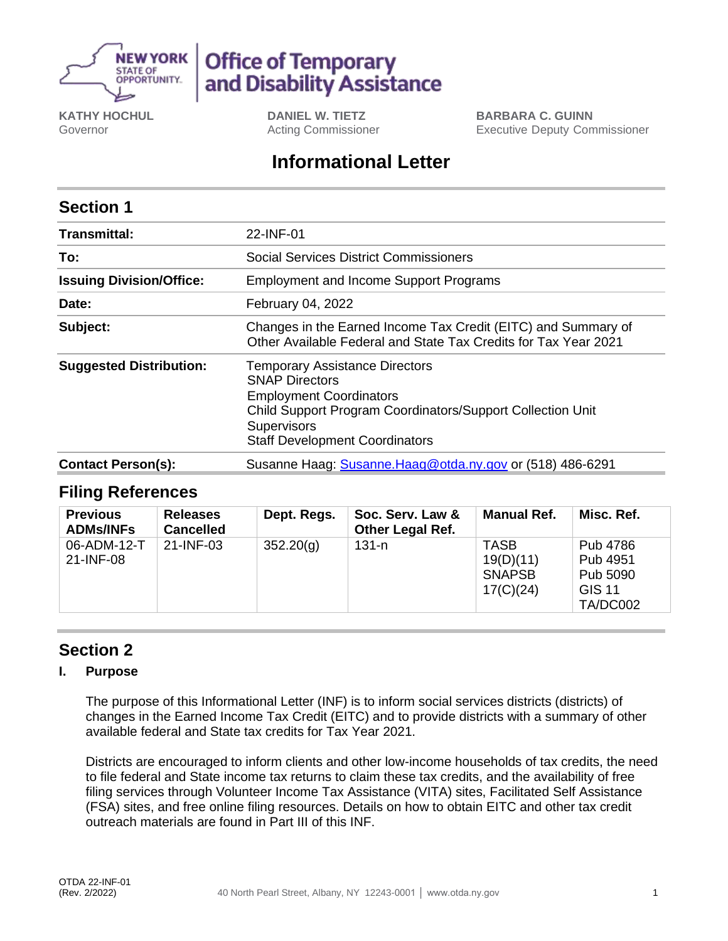

# **Office of Temporary** and Disability Assistance

**KATHY HOCHUL** Governor

**DANIEL W. TIETZ** Acting Commissioner

**BARBARA C. GUINN** Executive Deputy Commissioner

## **Informational Letter**

## **Section 1**

| <b>Transmittal:</b>             | 22-INF-01                                                                                                                                                                                                                     |  |  |  |  |
|---------------------------------|-------------------------------------------------------------------------------------------------------------------------------------------------------------------------------------------------------------------------------|--|--|--|--|
| To:                             | Social Services District Commissioners                                                                                                                                                                                        |  |  |  |  |
| <b>Issuing Division/Office:</b> | <b>Employment and Income Support Programs</b>                                                                                                                                                                                 |  |  |  |  |
| Date:                           | February 04, 2022                                                                                                                                                                                                             |  |  |  |  |
| Subject:                        | Changes in the Earned Income Tax Credit (EITC) and Summary of<br>Other Available Federal and State Tax Credits for Tax Year 2021                                                                                              |  |  |  |  |
| <b>Suggested Distribution:</b>  | <b>Temporary Assistance Directors</b><br><b>SNAP Directors</b><br><b>Employment Coordinators</b><br>Child Support Program Coordinators/Support Collection Unit<br><b>Supervisors</b><br><b>Staff Development Coordinators</b> |  |  |  |  |
| <b>Contact Person(s):</b>       | Susanne Haag: Susanne.Haag@otda.ny.gov or (518) 486-6291                                                                                                                                                                      |  |  |  |  |

### **Filing References**

| <b>Previous</b><br><b>ADMs/INFs</b> | <b>Releases</b><br><b>Cancelled</b> | Dept. Regs. | Soc. Serv. Law &<br><b>Other Legal Ref.</b> | Manual Ref.                                            | Misc. Ref.                                                    |
|-------------------------------------|-------------------------------------|-------------|---------------------------------------------|--------------------------------------------------------|---------------------------------------------------------------|
| 06-ADM-12-T<br>21-INF-08            | 21-INF-03                           | 352.20(q)   | $131 - n$                                   | <b>TASB</b><br>19(D)(11)<br><b>SNAPSB</b><br>17(C)(24) | Pub 4786<br>Pub 4951<br>Pub 5090<br><b>GIS 11</b><br>TA/DC002 |

## **Section 2**

#### **I. Purpose**

The purpose of this Informational Letter (INF) is to inform social services districts (districts) of changes in the Earned Income Tax Credit (EITC) and to provide districts with a summary of other available federal and State tax credits for Tax Year 2021.

Districts are encouraged to inform clients and other low-income households of tax credits, the need to file federal and State income tax returns to claim these tax credits, and the availability of free filing services through Volunteer Income Tax Assistance (VITA) sites, Facilitated Self Assistance (FSA) sites, and free online filing resources. Details on how to obtain EITC and other tax credit outreach materials are found in Part III of this INF.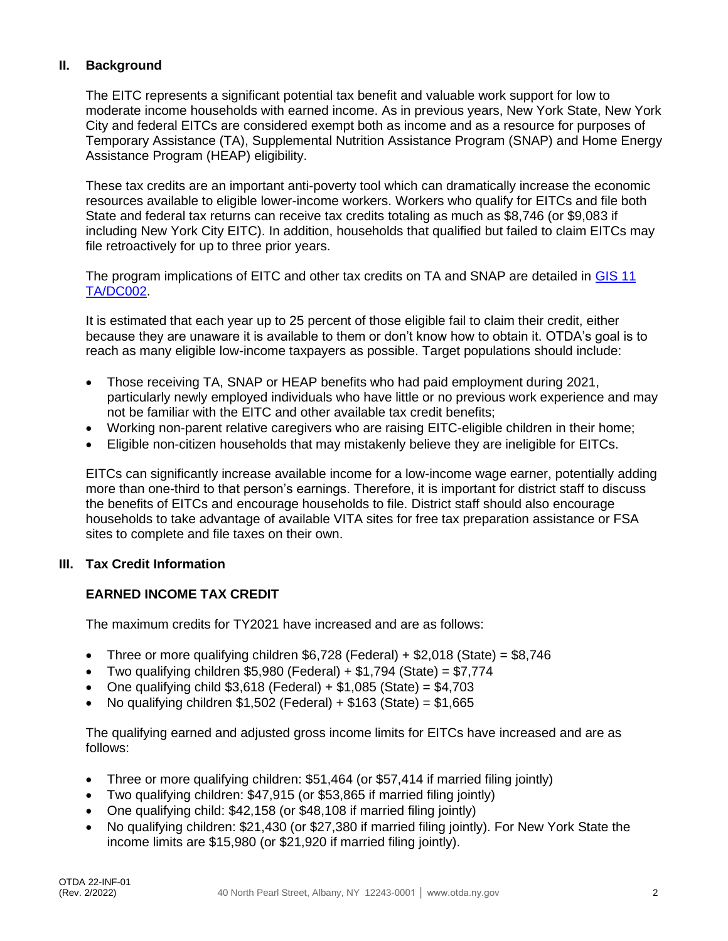#### **II. Background**

The EITC represents a significant potential tax benefit and valuable work support for low to moderate income households with earned income. As in previous years, New York State, New York City and federal EITCs are considered exempt both as income and as a resource for purposes of Temporary Assistance (TA), Supplemental Nutrition Assistance Program (SNAP) and Home Energy Assistance Program (HEAP) eligibility.

These tax credits are an important anti-poverty tool which can dramatically increase the economic resources available to eligible lower-income workers. Workers who qualify for EITCs and file both State and federal tax returns can receive tax credits totaling as much as \$8,746 (or \$9,083 if including New York City EITC). In addition, households that qualified but failed to claim EITCs may file retroactively for up to three prior years.

The program implications of EITC and other tax credits on TA and SNAP are detailed in [GIS 11](http://otda.state.nyenet/dta/resources/GIS/11dc002.pdf)  [TA/DC002.](http://otda.state.nyenet/dta/resources/GIS/11dc002.pdf)

It is estimated that each year up to 25 percent of those eligible fail to claim their credit, either because they are unaware it is available to them or don't know how to obtain it. OTDA's goal is to reach as many eligible low-income taxpayers as possible. Target populations should include:

- Those receiving TA, SNAP or HEAP benefits who had paid employment during 2021, particularly newly employed individuals who have little or no previous work experience and may not be familiar with the EITC and other available tax credit benefits;
- Working non-parent relative caregivers who are raising EITC-eligible children in their home;
- Eligible non-citizen households that may mistakenly believe they are ineligible for EITCs.

EITCs can significantly increase available income for a low-income wage earner, potentially adding more than one-third to that person's earnings. Therefore, it is important for district staff to discuss the benefits of EITCs and encourage households to file. District staff should also encourage households to take advantage of available VITA sites for free tax preparation assistance or FSA sites to complete and file taxes on their own.

#### **III. Tax Credit Information**

#### **EARNED INCOME TAX CREDIT**

The maximum credits for TY2021 have increased and are as follows:

- Three or more qualifying children  $$6,728$  (Federal) +  $$2,018$  (State) =  $$8,746$
- Two qualifying children \$5,980 (Federal) +  $$1,794$  (State) =  $$7,774$
- One qualifying child  $$3,618$  (Federal) +  $$1,085$  (State) =  $$4,703$
- No qualifying children \$1,502 (Federal) + \$163 (State) = \$1,665

The qualifying earned and adjusted gross income limits for EITCs have increased and are as follows:

- Three or more qualifying children: \$51,464 (or \$57,414 if married filing jointly)
- Two qualifying children: \$47,915 (or \$53,865 if married filing jointly)
- One qualifying child: \$42,158 (or \$48,108 if married filing jointly)
- No qualifying children: \$21,430 (or \$27,380 if married filing jointly). For New York State the income limits are \$15,980 (or \$21,920 if married filing jointly).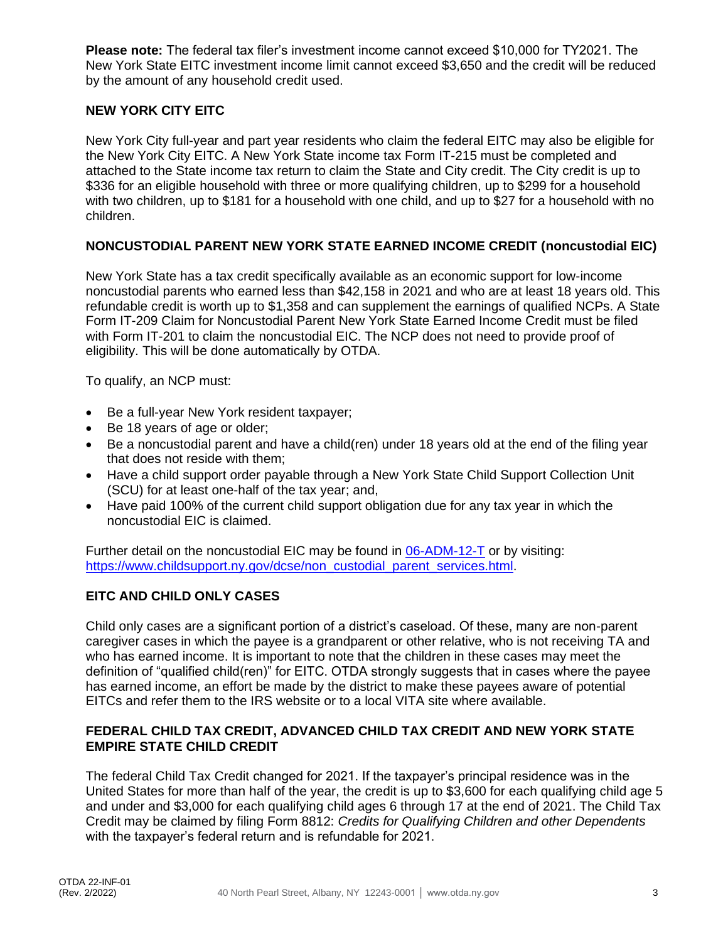**Please note:** The federal tax filer's investment income cannot exceed \$10,000 for TY2021. The New York State EITC investment income limit cannot exceed \$3,650 and the credit will be reduced by the amount of any household credit used.

#### **NEW YORK CITY EITC**

New York City full-year and part year residents who claim the federal EITC may also be eligible for the New York City EITC. A New York State income tax Form IT-215 must be completed and attached to the State income tax return to claim the State and City credit. The City credit is up to \$336 for an eligible household with three or more qualifying children, up to \$299 for a household with two children, up to \$181 for a household with one child, and up to \$27 for a household with no children.

#### **NONCUSTODIAL PARENT NEW YORK STATE EARNED INCOME CREDIT (noncustodial EIC)**

New York State has a tax credit specifically available as an economic support for low-income noncustodial parents who earned less than \$42,158 in 2021 and who are at least 18 years old. This refundable credit is worth up to \$1,358 and can supplement the earnings of qualified NCPs. A State Form IT-209 Claim for Noncustodial Parent New York State Earned Income Credit must be filed with Form IT-201 to claim the noncustodial EIC. The NCP does not need to provide proof of eligibility. This will be done automatically by OTDA.

To qualify, an NCP must:

- Be a full-year New York resident taxpayer;
- Be 18 years of age or older;
- Be a noncustodial parent and have a child(ren) under 18 years old at the end of the filing year that does not reside with them;
- Have a child support order payable through a New York State Child Support Collection Unit (SCU) for at least one-half of the tax year; and,
- Have paid 100% of the current child support obligation due for any tax year in which the noncustodial EIC is claimed.

Further detail on the noncustodial EIC may be found in [06-ADM-12-T](https://otda.ny.gov/policy/directives/2006/ADM/06-ADM-12-T.pdf) or by visiting: [https://www.childsupport.ny.gov/dcse/non\\_custodial\\_parent\\_services.html.](https://www.childsupport.ny.gov/dcse/non_custodial_parent_services.html)

#### **EITC AND CHILD ONLY CASES**

Child only cases are a significant portion of a district's caseload. Of these, many are non-parent caregiver cases in which the payee is a grandparent or other relative, who is not receiving TA and who has earned income. It is important to note that the children in these cases may meet the definition of "qualified child(ren)" for EITC. OTDA strongly suggests that in cases where the payee has earned income, an effort be made by the district to make these payees aware of potential EITCs and refer them to the IRS website or to a local VITA site where available.

#### **FEDERAL CHILD TAX CREDIT, ADVANCED CHILD TAX CREDIT AND NEW YORK STATE EMPIRE STATE CHILD CREDIT**

The federal Child Tax Credit changed for 2021. If the taxpayer's principal residence was in the United States for more than half of the year, the credit is up to \$3,600 for each qualifying child age 5 and under and \$3,000 for each qualifying child ages 6 through 17 at the end of 2021. The Child Tax Credit may be claimed by filing Form 8812: *Credits for Qualifying Children and other Dependents* with the taxpayer's federal return and is refundable for 2021.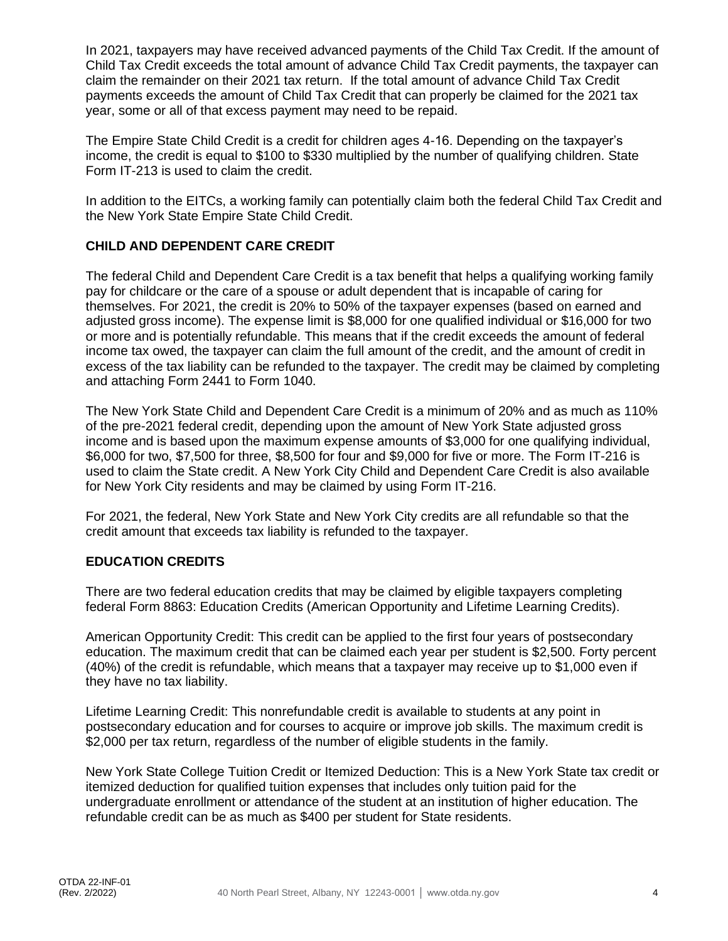In 2021, taxpayers may have received advanced payments of the Child Tax Credit. If the amount of Child Tax Credit exceeds the total amount of advance Child Tax Credit payments, the taxpayer can claim the remainder on their 2021 tax return. If the total amount of advance Child Tax Credit payments exceeds the amount of Child Tax Credit that can properly be claimed for the 2021 tax year, some or all of that excess payment may need to be repaid.

The Empire State Child Credit is a credit for children ages 4-16. Depending on the taxpayer's income, the credit is equal to \$100 to \$330 multiplied by the number of qualifying children. State Form IT-213 is used to claim the credit.

In addition to the EITCs, a working family can potentially claim both the federal Child Tax Credit and the New York State Empire State Child Credit.

#### **CHILD AND DEPENDENT CARE CREDIT**

The federal Child and Dependent Care Credit is a tax benefit that helps a qualifying working family pay for childcare or the care of a spouse or adult dependent that is incapable of caring for themselves. For 2021, the credit is 20% to 50% of the taxpayer expenses (based on earned and adjusted gross income). The expense limit is \$8,000 for one qualified individual or \$16,000 for two or more and is potentially refundable. This means that if the credit exceeds the amount of federal income tax owed, the taxpayer can claim the full amount of the credit, and the amount of credit in excess of the tax liability can be refunded to the taxpayer. The credit may be claimed by completing and attaching Form 2441 to Form 1040.

The New York State Child and Dependent Care Credit is a minimum of 20% and as much as 110% of the pre-2021 federal credit, depending upon the amount of New York State adjusted gross income and is based upon the maximum expense amounts of \$3,000 for one qualifying individual, \$6,000 for two, \$7,500 for three, \$8,500 for four and \$9,000 for five or more. The Form IT-216 is used to claim the State credit. A New York City Child and Dependent Care Credit is also available for New York City residents and may be claimed by using Form IT-216.

For 2021, the federal, New York State and New York City credits are all refundable so that the credit amount that exceeds tax liability is refunded to the taxpayer.

#### **EDUCATION CREDITS**

There are two federal education credits that may be claimed by eligible taxpayers completing federal Form 8863: Education Credits (American Opportunity and Lifetime Learning Credits).

American Opportunity Credit: This credit can be applied to the first four years of postsecondary education. The maximum credit that can be claimed each year per student is \$2,500. Forty percent (40%) of the credit is refundable, which means that a taxpayer may receive up to \$1,000 even if they have no tax liability.

Lifetime Learning Credit: This nonrefundable credit is available to students at any point in postsecondary education and for courses to acquire or improve job skills. The maximum credit is \$2,000 per tax return, regardless of the number of eligible students in the family.

New York State College Tuition Credit or Itemized Deduction: This is a New York State tax credit or itemized deduction for qualified tuition expenses that includes only tuition paid for the undergraduate enrollment or attendance of the student at an institution of higher education. The refundable credit can be as much as \$400 per student for State residents.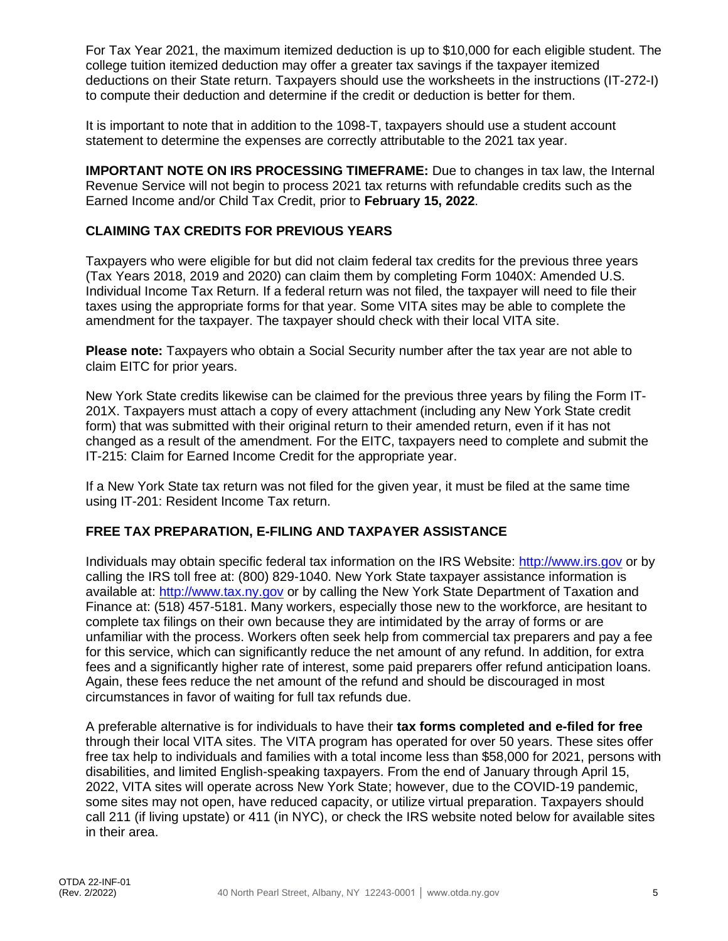For Tax Year 2021, the maximum itemized deduction is up to \$10,000 for each eligible student. The college tuition itemized deduction may offer a greater tax savings if the taxpayer itemized deductions on their State return. Taxpayers should use the worksheets in the instructions (IT-272-I) to compute their deduction and determine if the credit or deduction is better for them.

It is important to note that in addition to the 1098-T, taxpayers should use a student account statement to determine the expenses are correctly attributable to the 2021 tax year.

**IMPORTANT NOTE ON IRS PROCESSING TIMEFRAME:** Due to changes in tax law, the Internal Revenue Service will not begin to process 2021 tax returns with refundable credits such as the Earned Income and/or Child Tax Credit, prior to **February 15, 2022**.

#### **CLAIMING TAX CREDITS FOR PREVIOUS YEARS**

Taxpayers who were eligible for but did not claim federal tax credits for the previous three years (Tax Years 2018, 2019 and 2020) can claim them by completing Form 1040X: Amended U.S. Individual Income Tax Return. If a federal return was not filed, the taxpayer will need to file their taxes using the appropriate forms for that year. Some VITA sites may be able to complete the amendment for the taxpayer. The taxpayer should check with their local VITA site.

**Please note:** Taxpayers who obtain a Social Security number after the tax year are not able to claim EITC for prior years.

New York State credits likewise can be claimed for the previous three years by filing the Form IT-201X. Taxpayers must attach a copy of every attachment (including any New York State credit form) that was submitted with their original return to their amended return, even if it has not changed as a result of the amendment. For the EITC, taxpayers need to complete and submit the IT-215: Claim for Earned Income Credit for the appropriate year.

If a New York State tax return was not filed for the given year, it must be filed at the same time using IT-201: Resident Income Tax return.

#### **FREE TAX PREPARATION, E-FILING AND TAXPAYER ASSISTANCE**

Individuals may obtain specific federal tax information on the IRS Website: [http://www.irs.gov](http://www.irs.gov/) or by calling the IRS toll free at: (800) 829-1040. New York State taxpayer assistance information is available at: [http://www.tax.ny.gov](http://www.tax.ny.gov/) or by calling the New York State Department of Taxation and Finance at: (518) 457-5181. Many workers, especially those new to the workforce, are hesitant to complete tax filings on their own because they are intimidated by the array of forms or are unfamiliar with the process. Workers often seek help from commercial tax preparers and pay a fee for this service, which can significantly reduce the net amount of any refund. In addition, for extra fees and a significantly higher rate of interest, some paid preparers offer refund anticipation loans. Again, these fees reduce the net amount of the refund and should be discouraged in most circumstances in favor of waiting for full tax refunds due.

A preferable alternative is for individuals to have their **tax forms completed and e-filed for free**  through their local VITA sites. The VITA program has operated for over 50 years. These sites offer free tax help to individuals and families with a total income less than \$58,000 for 2021, persons with disabilities, and limited English-speaking taxpayers. From the end of January through April 15, 2022, VITA sites will operate across New York State; however, due to the COVID-19 pandemic, some sites may not open, have reduced capacity, or utilize virtual preparation. Taxpayers should call 211 (if living upstate) or 411 (in NYC), or check the IRS website noted below for available sites in their area.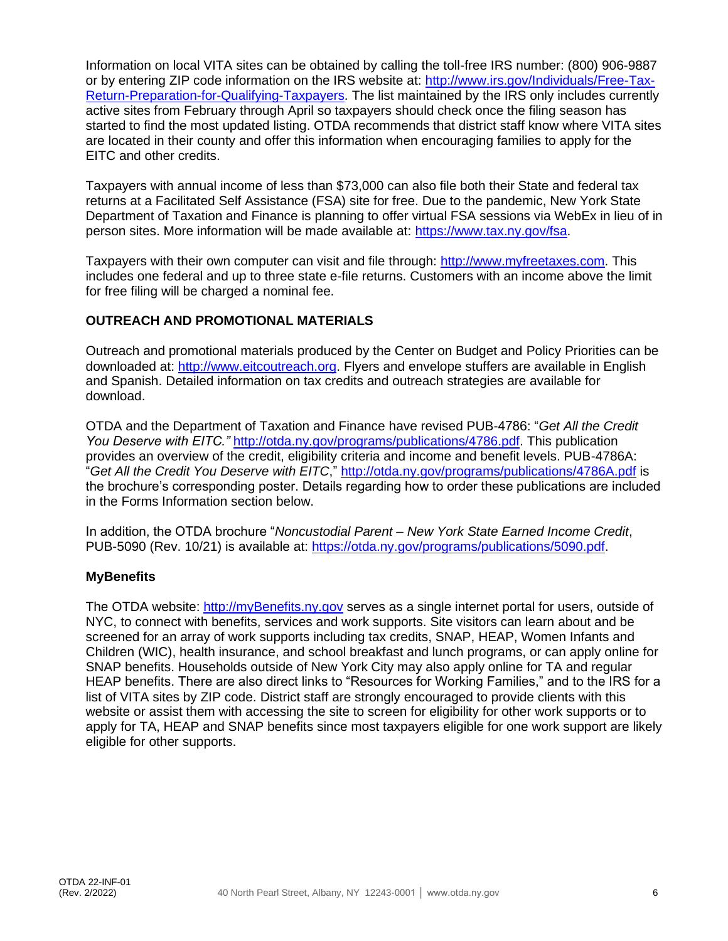Information on local VITA sites can be obtained by calling the toll-free IRS number: (800) 906-9887 or by entering ZIP code information on the IRS website at: [http://www.irs.gov/Individuals/Free-Tax-](http://www.irs.gov/Individuals/Free-Tax-Return-Preparation-for-Qualifying-Taxpayers)[Return-Preparation-for-Qualifying-Taxpayers.](http://www.irs.gov/Individuals/Free-Tax-Return-Preparation-for-Qualifying-Taxpayers) The list maintained by the IRS only includes currently active sites from February through April so taxpayers should check once the filing season has started to find the most updated listing. OTDA recommends that district staff know where VITA sites are located in their county and offer this information when encouraging families to apply for the EITC and other credits.

Taxpayers with annual income of less than \$73,000 can also file both their State and federal tax returns at a Facilitated Self Assistance (FSA) site for free. Due to the pandemic, New York State Department of Taxation and Finance is planning to offer virtual FSA sessions via WebEx in lieu of in person sites. More information will be made available at: [https://www.tax.ny.gov/fsa.](https://www.tax.ny.gov/fsa)

Taxpayers with their own computer can visit and file through: [http://www.myfreetaxes.com.](http://www.myfreetaxes.com/) This includes one federal and up to three state e-file returns. Customers with an income above the limit for free filing will be charged a nominal fee.

#### **OUTREACH AND PROMOTIONAL MATERIALS**

Outreach and promotional materials produced by the Center on Budget and Policy Priorities can be downloaded at: [http://www.eitcoutreach.org.](http://www.eitcoutreach.org/) Flyers and envelope stuffers are available in English and Spanish. Detailed information on tax credits and outreach strategies are available for download.

OTDA and the Department of Taxation and Finance have revised PUB-4786: "*Get All the Credit You Deserve with EITC."* [http://otda.ny.gov/programs/publications/4786.pdf.](http://otda.ny.gov/programs/publications/4786.pdf) This publication provides an overview of the credit, eligibility criteria and income and benefit levels. PUB-4786A: "*Get All the Credit You Deserve with EITC*,"<http://otda.ny.gov/programs/publications/4786A.pdf> is the brochure's corresponding poster. Details regarding how to order these publications are included in the Forms Information section below.

In addition, the OTDA brochure "*Noncustodial Parent – New York State Earned Income Credit*, PUB-5090 (Rev. 10/21) is available at: [https://otda.ny.gov/programs/publications/5090.pdf.](https://otda.ny.gov/programs/publications/5090.pdf)

#### **MyBenefits**

The OTDA website: [http://myBenefits.ny.gov](http://mybenefits.ny.gov/) serves as a single internet portal for users, outside of NYC, to connect with benefits, services and work supports. Site visitors can learn about and be screened for an array of work supports including tax credits, SNAP, HEAP, Women Infants and Children (WIC), health insurance, and school breakfast and lunch programs, or can apply online for SNAP benefits. Households outside of New York City may also apply online for TA and regular HEAP benefits. There are also direct links to "Resources for Working Families," and to the IRS for a list of VITA sites by ZIP code. District staff are strongly encouraged to provide clients with this website or assist them with accessing the site to screen for eligibility for other work supports or to apply for TA, HEAP and SNAP benefits since most taxpayers eligible for one work support are likely eligible for other supports.